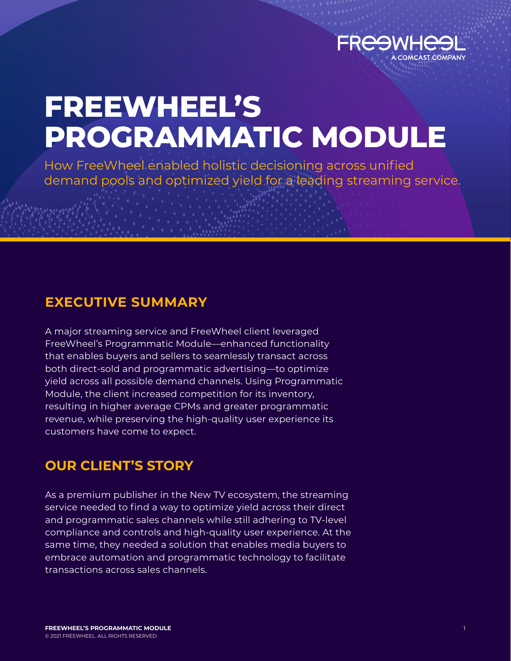

# **FREEWHEEL'S PROGRAMMATIC MODULE**

How FreeWheel enabled holistic decisioning across unified demand pools and optimized yield for a leading streaming service.

**EXECUTIVE SUMMARY**

A major streaming service and FreeWheel client leveraged FreeWheel's Programmatic Module—enhanced functionality that enables buyers and sellers to seamlessly transact across both direct-sold and programmatic advertising—to optimize yield across all possible demand channels. Using Programmatic Module, the client increased competition for its inventory, resulting in higher average CPMs and greater programmatic revenue, while preserving the high-quality user experience its customers have come to expect.

## **OUR CLIENT'S STORY**

As a premium publisher in the New TV ecosystem, the streaming service needed to find a way to optimize yield across their direct and programmatic sales channels while still adhering to TV-level compliance and controls and high-quality user experience. At the same time, they needed a solution that enables media buyers to embrace automation and programmatic technology to facilitate transactions across sales channels.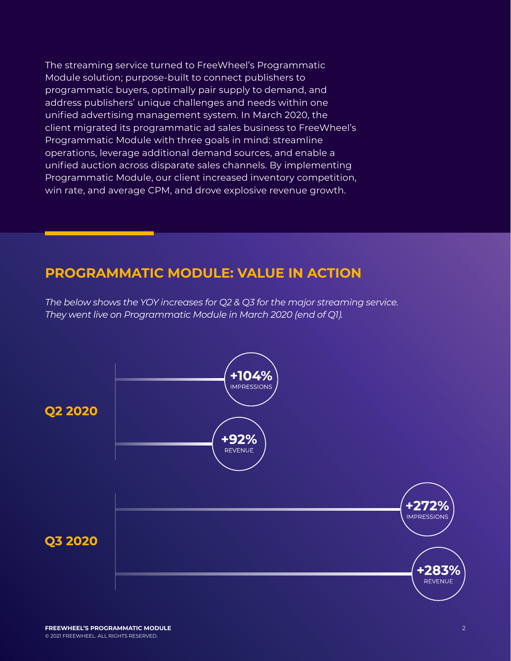The streaming service turned to FreeWheel's Programmatic Module solution; purpose-built to connect publishers to programmatic buyers, optimally pair supply to demand, and address publishers' unique challenges and needs within one unified advertising management system. In March 2020, the client migrated its programmatic ad sales business to FreeWheel's Programmatic Module with three goals in mind: streamline operations, leverage additional demand sources, and enable a unified auction across disparate sales channels. By implementing Programmatic Module, our client increased inventory competition, win rate, and average CPM, and drove explosive revenue growth.

## **PROGRAMMATIC MODULE: VALUE IN ACTION**

*The below shows the YOY increases for Q2 & Q3 for the major streaming service. They went live on Programmatic Module in March 2020 (end of Q1).*

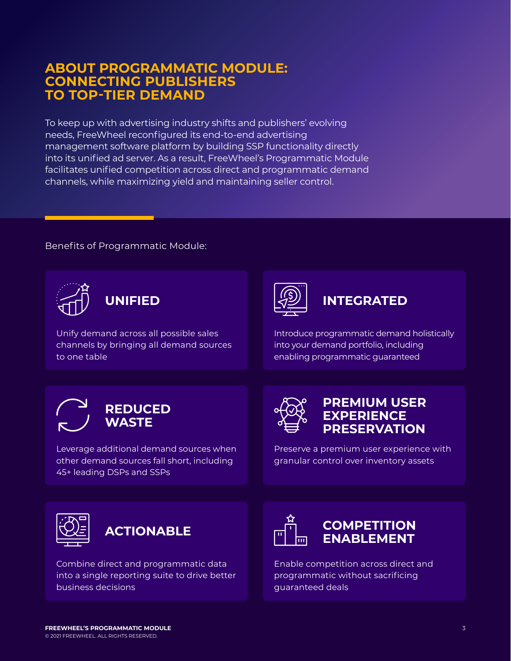## **ABOUT PROGRAMMATIC MODULE: CONNECTING PUBLISHERS TO TOP-TIER DEMAND**

To keep up with advertising industry shifts and publishers' evolving needs, FreeWheel reconfigured its end-to-end advertising management software platform by building SSP functionality directly into its unified ad server. As a result, FreeWheel's Programmatic Module facilitates unified competition across direct and programmatic demand channels, while maximizing yield and maintaining seller control.

### Benefits of Programmatic Module:



**UNIFIED**

Unify demand across all possible sales channels by bringing all demand sources to one table



## **INTEGRATED**

Introduce programmatic demand holistically into your demand portfolio, including enabling programmatic guaranteed

## **REDUCED WASTE**

Leverage additional demand sources when other demand sources fall short, including 45+ leading DSPs and SSPs



## **PREMIUM USER EXPERIENCE PRESERVATION**

Preserve a premium user experience with granular control over inventory assets



Combine direct and programmatic data into a single reporting suite to drive better business decisions



## **ACTIONABLE FOR THE COMPETITION ENABLEMENT**

Enable competition across direct and programmatic without sacrificing guaranteed deals